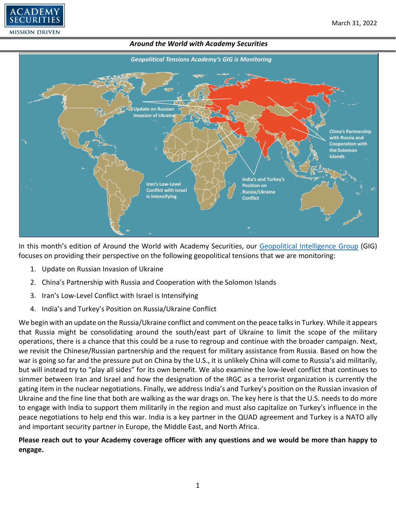



In this month's edition of Around the World with Academy Securities, our [Geopolitical Intelligence Group](https://www.academysecurities.com/geopolitical/geopolitical-intelligence-group/) (GIG) focuses on providing their perspective on the following geopolitical tensions that we are monitoring:

- 1. Update on Russian Invasion of Ukraine
- 2. China's Partnership with Russia and Cooperation with the Solomon Islands
- 3. Iran's Low-Level Conflict with Israel is Intensifying
- 4. India's and Turkey's Position on Russia/Ukraine Conflict

We begin with an update on the Russia/Ukraine conflict and comment on the peace talks in Turkey. While it appears that Russia might be consolidating around the south/east part of Ukraine to limit the scope of the military operations, there is a chance that this could be a ruse to regroup and continue with the broader campaign. Next, we revisit the Chinese/Russian partnership and the request for military assistance from Russia. Based on how the war is going so far and the pressure put on China by the U.S., it is unlikely China will come to Russia's aid militarily, but will instead try to "play all sides" for its own benefit. We also examine the low-level conflict that continues to simmer between Iran and Israel and how the designation of the IRGC as a terrorist organization is currently the gating item in the nuclear negotiations. Finally, we address India's and Turkey's position on the Russian invasion of Ukraine and the fine line that both are walking as the war drags on. The key here is that the U.S. needs to do more to engage with India to support them militarily in the region and must also capitalize on Turkey's influence in the peace negotiations to help end this war. India is a key partner in the QUAD agreement and Turkey is a NATO ally and important security partner in Europe, the Middle East, and North Africa.

# **Please reach out to your Academy coverage officer with any questions and we would be more than happy to engage.**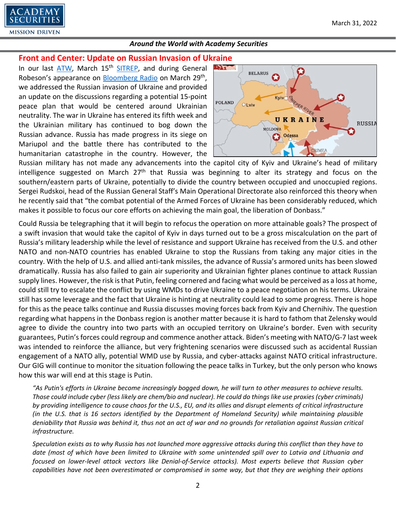

# **Front and Center: Update on Russian Invasion of Ukraine**

In our last [ATW,](https://www.academysecurities.com/wordpress/wp-content/uploads/2022/02/Around-the-World-with-Academy-Securities_2_28_22.pdf) March 15<sup>th</sup> [SITREP,](https://www.academysecurities.com/geopolitical/insights/) and during General Robeson's appearance on [Bloomberg Radio](https://www.bloomberg.com/news/audio/2022-03-29/russia-to-reduce-military-operations-near-kyiv-podcast) on March 29<sup>th</sup>, we addressed the Russian invasion of Ukraine and provided an update on the discussions regarding a potential 15-point peace plan that would be centered around Ukrainian neutrality. The war in Ukraine has entered its fifth week and the Ukrainian military has continued to bog down the Russian advance. Russia has made progress in its siege on Mariupol and the battle there has contributed to the humanitarian catastrophe in the country. However, the



Russian military has not made any advancements into the capitol city of Kyiv and Ukraine's head of military intelligence suggested on March  $27<sup>th</sup>$  that Russia was beginning to alter its strategy and focus on the southern/eastern parts of Ukraine, potentially to divide the country between occupied and unoccupied regions. Sergei Rudskoi, head of the Russian General Staff's Main Operational Directorate also reinforced this theory when he recently said that "the combat potential of the Armed Forces of Ukraine has been considerably reduced, which makes it possible to focus our core efforts on achieving the main goal, the liberation of Donbass."

Could Russia be telegraphing that it will begin to refocus the operation on more attainable goals? The prospect of a swift invasion that would take the capitol of Kyiv in days turned out to be a gross miscalculation on the part of Russia's military leadership while the level of resistance and support Ukraine has received from the U.S. and other NATO and non-NATO countries has enabled Ukraine to stop the Russians from taking any major cities in the country. With the help of U.S. and allied anti-tank missiles, the advance of Russia's armored units has been slowed dramatically. Russia has also failed to gain air superiority and Ukrainian fighter planes continue to attack Russian supply lines. However, the risk is that Putin, feeling cornered and facing what would be perceived as a loss at home, could still try to escalate the conflict by using WMDs to drive Ukraine to a peace negotiation on his terms. Ukraine still has some leverage and the fact that Ukraine is hinting at neutrality could lead to some progress. There is hope for this as the peace talks continue and Russia discusses moving forces back from Kyiv and Chernihiv. The question regarding what happens in the Donbass region is another matter because it is hard to fathom that Zelensky would agree to divide the country into two parts with an occupied territory on Ukraine's border. Even with security guarantees, Putin's forces could regroup and commence another attack. Biden's meeting with NATO/G-7 last week was intended to reinforce the alliance, but very frightening scenarios were discussed such as accidental Russian engagement of a NATO ally, potential WMD use by Russia, and cyber-attacks against NATO critical infrastructure. Our GIG will continue to monitor the situation following the peace talks in Turkey, but the only person who knows how this war will end at this stage is Putin.

*"As Putin's efforts in Ukraine become increasingly bogged down, he will turn to other measures to achieve results. Those could include cyber (less likely are chem/bio and nuclear). He could do things like use proxies (cyber criminals) by providing intelligence to cause chaos for the U.S., EU, and its allies and disrupt elements of critical infrastructure (in the U.S. that is 16 sectors identified by the Department of Homeland Security) while maintaining plausible deniability that Russia was behind it, thus not an act of war and no grounds for retaliation against Russian critical infrastructure.* 

*Speculation exists as to why Russia has not launched more aggressive attacks during this conflict than they have to date (most of which have been limited to Ukraine with some unintended spill over to Latvia and Lithuania and focused on lower-level attack vectors like Denial-of-Service attacks). Most experts believe that Russian cyber capabilities have not been overestimated or compromised in some way, but that they are weighing their options*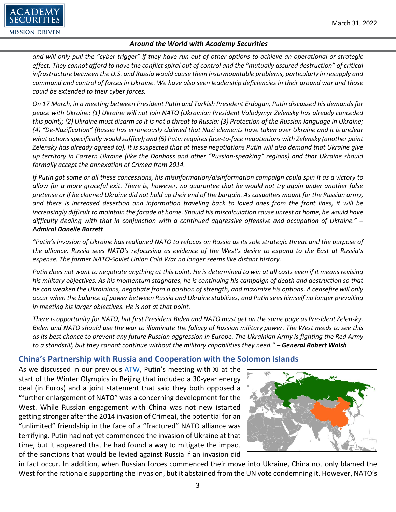

*and will only pull the "cyber-trigger" if they have run out of other options to achieve an operational or strategic effect. They cannot afford to have the conflict spiral out of control and the "mutually assured destruction" of critical infrastructure between the U.S. and Russia would cause them insurmountable problems, particularly in resupply and command and control of forces in Ukraine. We have also seen leadership deficiencies in their ground war and those could be extended to their cyber forces.*

*On 17 March, in a meeting between President Putin and Turkish President Erdogan, Putin discussed his demands for peace with Ukraine: (1) Ukraine will not join NATO (Ukrainian President Volodymyr Zelensky has already conceded this point); (2) Ukraine must disarm so it is not a threat to Russia; (3) Protection of the Russian language in Ukraine; (4) "De-Nazification" (Russia has erroneously claimed that Nazi elements have taken over Ukraine and it is unclear what actions specifically would suffice); and (5) Putin requires face-to-face negotiations with Zelensky (another point Zelensky has already agreed to). It is suspected that at these negotiations Putin will also demand that Ukraine give up territory in Eastern Ukraine (like the Donbass and other "Russian-speaking" regions) and that Ukraine should formally accept the annexation of Crimea from 2014.*

*If Putin got some or all these concessions, his misinformation/disinformation campaign could spin it as a victory to allow for a more graceful exit. There is, however, no guarantee that he would not try again under another false pretense or if he claimed Ukraine did not hold up their end of the bargain. As casualties mount for the Russian army, and there is increased desertion and information traveling back to loved ones from the front lines, it will be increasingly difficult to maintain the facade at home. Should his miscalculation cause unrest at home, he would have difficulty dealing with that in conjunction with a continued aggressive offensive and occupation of Ukraine." – Admiral Danelle Barrett*

*"Putin's invasion of Ukraine has realigned NATO to refocus on Russia as its sole strategic threat and the purpose of the alliance. Russia sees NATO's refocusing as evidence of the West's desire to expand to the East at Russia's expense. The former NATO-Soviet Union Cold War no longer seems like distant history.* 

*Putin does not want to negotiate anything at this point. He is determined to win at all costs even if it means revising his military objectives. As his momentum stagnates, he is continuing his campaign of death and destruction so that he can weaken the Ukrainians, negotiate from a position of strength, and maximize his options. A ceasefire will only occur when the balance of power between Russia and Ukraine stabilizes, and Putin sees himself no longer prevailing in meeting his larger objectives. He is not at that point.*

*There is opportunity for NATO, but first President Biden and NATO must get on the same page as President Zelensky. Biden and NATO should use the war to illuminate the fallacy of Russian military power. The West needs to see this as its best chance to prevent any future Russian aggression in Europe. The Ukrainian Army is fighting the Red Army to a standstill, but they cannot continue without the military capabilities they need." – General Robert Walsh*

# **China's Partnership with Russia and Cooperation with the Solomon Islands**

As we discussed in our previous [ATW,](https://www.academysecurities.com/wordpress/wp-content/uploads/2022/02/Around-the-World-with-Academy-Securities_2_28_22.pdf) Putin's meeting with Xi at the start of the Winter Olympics in Beijing that included a 30-year energy deal (in Euros) and a joint statement that said they both opposed a "further enlargement of NATO" was a concerning development for the West. While Russian engagement with China was not new (started getting stronger after the 2014 invasion of Crimea), the potential for an "unlimited" friendship in the face of a "fractured" NATO alliance was terrifying. Putin had not yet commenced the invasion of Ukraine at that time, but it appeared that he had found a way to mitigate the impact of the sanctions that would be levied against Russia if an invasion did



in fact occur. In addition, when Russian forces commenced their move into Ukraine, China not only blamed the West for the rationale supporting the invasion, but it abstained from the UN vote condemning it. However, NATO's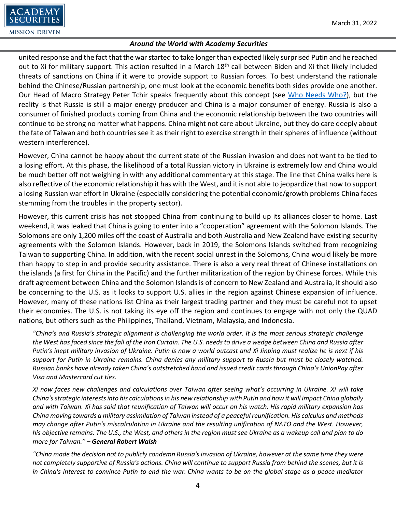

united response and the fact that the war started to take longer than expected likely surprised Putin and he reached out to Xi for military support. This action resulted in a March 18<sup>th</sup> call between Biden and Xi that likely included threats of sanctions on China if it were to provide support to Russian forces. To best understand the rationale behind the Chinese/Russian partnership, one must look at the economic benefits both sides provide one another. Our Head of Macro Strategy Peter Tchir speaks frequently about this concept (see [Who Needs Who?\)](https://www.academysecurities.com/wordpress/wp-content/uploads/2022/03/Who-Needs-Who.pdf), but the reality is that Russia is still a major energy producer and China is a major consumer of energy. Russia is also a consumer of finished products coming from China and the economic relationship between the two countries will continue to be strong no matter what happens. China might not care about Ukraine, but they do care deeply about the fate of Taiwan and both countries see it as their right to exercise strength in their spheres of influence (without western interference).

However, China cannot be happy about the current state of the Russian invasion and does not want to be tied to a losing effort. At this phase, the likelihood of a total Russian victory in Ukraine is extremely low and China would be much better off not weighing in with any additional commentary at this stage. The line that China walks here is also reflective of the economic relationship it has with the West, and it is not able to jeopardize that now to support a losing Russian war effort in Ukraine (especially considering the potential economic/growth problems China faces stemming from the troubles in the property sector).

However, this current crisis has not stopped China from continuing to build up its alliances closer to home. Last weekend, it was leaked that China is going to enter into a "cooperation" agreement with the Solomon Islands. The Solomons are only 1,200 miles off the coast of Australia and both Australia and New Zealand have existing security agreements with the Solomon Islands. However, back in 2019, the Solomons Islands switched from recognizing Taiwan to supporting China. In addition, with the recent social unrest in the Solomons, China would likely be more than happy to step in and provide security assistance. There is also a very real threat of Chinese installations on the islands (a first for China in the Pacific) and the further militarization of the region by Chinese forces. While this draft agreement between China and the Solomon Islands is of concern to New Zealand and Australia, it should also be concerning to the U.S. as it looks to support U.S. allies in the region against Chinese expansion of influence. However, many of these nations list China as their largest trading partner and they must be careful not to upset their economies. The U.S. is not taking its eye off the region and continues to engage with not only the QUAD nations, but others such as the Philippines, Thailand, Vietnam, Malaysia, and Indonesia.

*"China's and Russia's strategic alignment is challenging the world order. It is the most serious strategic challenge the West has faced since the fall of the Iron Curtain. The U.S. needs to drive a wedge between China and Russia after Putin's inept military invasion of Ukraine. Putin is now a world outcast and Xi Jinping must realize he is next if his support for Putin in Ukraine remains. China denies any military support to Russia but must be closely watched. Russian banks have already taken China's outstretched hand and issued credit cards through China's UnionPay after Visa and Mastercard cut ties.*

*Xi now faces new challenges and calculations over Taiwan after seeing what's occurring in Ukraine. Xi will take China's strategic interests into his calculations in his new relationship with Putin and how it will impact China globally and with Taiwan. Xi has said that reunification of Taiwan will occur on his watch. His rapid military expansion has China moving towards a military assimilation of Taiwan instead of a peaceful reunification. His calculus and methods may change after Putin's miscalculation in Ukraine and the resulting unification of NATO and the West. However, his objective remains. The U.S., the West, and others in the region must see Ukraine as a wakeup call and plan to do more for Taiwan." – General Robert Walsh*

*"China made the decision not to publicly condemn Russia's invasion of Ukraine, however at the same time they were not completely supportive of Russia's actions. China will continue to support Russia from behind the scenes, but it is in China's interest to convince Putin to end the war. China wants to be on the global stage as a peace mediator*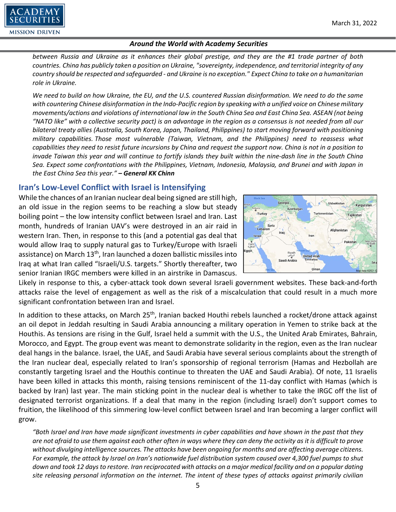

*between Russia and Ukraine as it enhances their global prestige, and they are the #1 trade partner of both countries. China has publicly taken a position on Ukraine, "sovereignty, independence, and territorial integrity of any country should be respected and safeguarded - and Ukraine is no exception." Expect China to take on a humanitarian role in Ukraine.*

*We need to build on how Ukraine, the EU, and the U.S. countered Russian disinformation. We need to do the same with countering Chinese disinformation in the Indo-Pacific region by speaking with a unified voice on Chinese military movements/actions and violations of international law in the South China Sea and East China Sea. ASEAN (not being "NATO like" with a collective security pact) is an advantage in the region as a consensus is not needed from all our bilateral treaty allies (Australia, South Korea, Japan, Thailand, Philippines) to start moving forward with positioning military capabilities. Those most vulnerable (Taiwan, Vietnam, and the Philippines) need to reassess what capabilities they need to resist future incursions by China and request the support now. China is not in a position to invade Taiwan this year and will continue to fortify islands they built within the nine-dash line in the South China Sea. Expect some confrontations with the Philippines, Vietnam, Indonesia, Malaysia, and Brunei and with Japan in the East China Sea this year." – General KK Chinn*

# **Iran's Low-Level Conflict with Israel is Intensifying**

While the chances of an Iranian nuclear deal being signed are still high, an old issue in the region seems to be reaching a slow but steady boiling point – the low intensity conflict between Israel and Iran. Last month, hundreds of Iranian UAV's were destroyed in an air raid in western Iran. Then, in response to this (and a potential gas deal that would allow Iraq to supply natural gas to Turkey/Europe with Israeli assistance) on March  $13<sup>th</sup>$ , Iran launched a dozen ballistic missiles into Iraq at what Iran called "Israeli/U.S. targets." Shortly thereafter, two senior Iranian IRGC members were killed in an airstrike in Damascus.



Likely in response to this, a cyber-attack took down several Israeli government websites. These back-and-forth attacks raise the level of engagement as well as the risk of a miscalculation that could result in a much more significant confrontation between Iran and Israel.

In addition to these attacks, on March 25<sup>th</sup>, Iranian backed Houthi rebels launched a rocket/drone attack against an oil depot in Jeddah resulting in Saudi Arabia announcing a military operation in Yemen to strike back at the Houthis. As tensions are rising in the Gulf, Israel held a summit with the U.S., the United Arab Emirates, Bahrain, Morocco, and Egypt. The group event was meant to demonstrate solidarity in the region, even as the Iran nuclear deal hangs in the balance. Israel, the UAE, and Saudi Arabia have several serious complaints about the strength of the Iran nuclear deal, especially related to Iran's sponsorship of regional terrorism (Hamas and Hezbollah are constantly targeting Israel and the Houthis continue to threaten the UAE and Saudi Arabia). Of note, 11 Israelis have been killed in attacks this month, raising tensions reminiscent of the 11-day conflict with Hamas (which is backed by Iran) last year. The main sticking point in the nuclear deal is whether to take the IRGC off the list of designated terrorist organizations. If a deal that many in the region (including Israel) don't support comes to fruition, the likelihood of this simmering low-level conflict between Israel and Iran becoming a larger conflict will grow.

*"Both Israel and Iran have made significant investments in cyber capabilities and have shown in the past that they are not afraid to use them against each other often in ways where they can deny the activity as it is difficult to prove without divulging intelligence sources. The attacks have been ongoing for months and are affecting average citizens. For example, the attack by Israel on Iran's nationwide fuel distribution system caused over 4,300 fuel pumps to shut down and took 12 days to restore. Iran reciprocated with attacks on a major medical facility and on a popular dating site releasing personal information on the internet. The intent of these types of attacks against primarily civilian*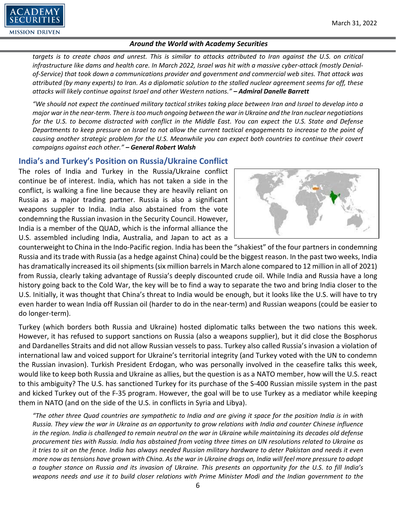

*targets is to create chaos and unrest. This is similar to attacks attributed to Iran against the U.S. on critical infrastructure like dams and health care. In March 2022, Israel was hit with a massive cyber-attack (mostly Denialof-Service) that took down a communications provider and government and commercial web sites. That attack was attributed (by many experts) to Iran. As a diplomatic solution to the stalled nuclear agreement seems far off, these attacks will likely continue against Israel and other Western nations." – Admiral Danelle Barrett*

*"We should not expect the continued military tactical strikes taking place between Iran and Israel to develop into a major war in the near-term. There is too much ongoing between the war in Ukraine and the Iran nuclear negotiations for the U.S. to become distracted with conflict in the Middle East. You can expect the U.S. State and Defense Departments to keep pressure on Israel to not allow the current tactical engagements to increase to the point of causing another strategic problem for the U.S. Meanwhile you can expect both countries to continue their covert campaigns against each other." – General Robert Walsh*

### **India's and Turkey's Position on Russia/Ukraine Conflict**

The roles of India and Turkey in the Russia/Ukraine conflict continue be of interest. India, which has not taken a side in the conflict, is walking a fine line because they are heavily reliant on Russia as a major trading partner. Russia is also a significant weapons suppler to India. India also abstained from the vote condemning the Russian invasion in the Security Council. However, India is a member of the QUAD, which is the informal alliance the U.S. assembled including India, Australia, and Japan to act as a



counterweight to China in the Indo-Pacific region. India has been the "shakiest" of the four partners in condemning Russia and its trade with Russia (as a hedge against China) could be the biggest reason. In the past two weeks, India has dramatically increased its oil shipments (six million barrels in March alone compared to 12 million in all of 2021) from Russia, clearly taking advantage of Russia's deeply discounted crude oil. While India and Russia have a long history going back to the Cold War, the key will be to find a way to separate the two and bring India closer to the U.S. Initially, it was thought that China's threat to India would be enough, but it looks like the U.S. will have to try even harder to wean India off Russian oil (harder to do in the near-term) and Russian weapons (could be easier to do longer-term).

Turkey (which borders both Russia and Ukraine) hosted diplomatic talks between the two nations this week. However, it has refused to support sanctions on Russia (also a weapons supplier), but it did close the Bosphorus and Dardanelles Straits and did not allow Russian vessels to pass. Turkey also called Russia's invasion a violation of international law and voiced support for Ukraine's territorial integrity (and Turkey voted with the UN to condemn the Russian invasion). Turkish President Erdogan, who was personally involved in the ceasefire talks this week, would like to keep both Russia and Ukraine as allies, but the question is as a NATO member, how will the U.S. react to this ambiguity? The U.S. has sanctioned Turkey for its purchase of the S-400 Russian missile system in the past and kicked Turkey out of the F-35 program. However, the goal will be to use Turkey as a mediator while keeping them in NATO (and on the side of the U.S. in conflicts in Syria and Libya).

*"The other three Quad countries are sympathetic to India and are giving it space for the position India is in with Russia. They view the war in Ukraine as an opportunity to grow relations with India and counter Chinese influence in the region. India is challenged to remain neutral on the war in Ukraine while maintaining its decades old defense procurement ties with Russia. India has abstained from voting three times on UN resolutions related to Ukraine as it tries to sit on the fence. India has always needed Russian military hardware to deter Pakistan and needs it even more now as tensions have grown with China. As the war in Ukraine drags on, India will feel more pressure to adopt a tougher stance on Russia and its invasion of Ukraine. This presents an opportunity for the U.S. to fill India's weapons needs and use it to build closer relations with Prime Minister Modi and the Indian government to the*